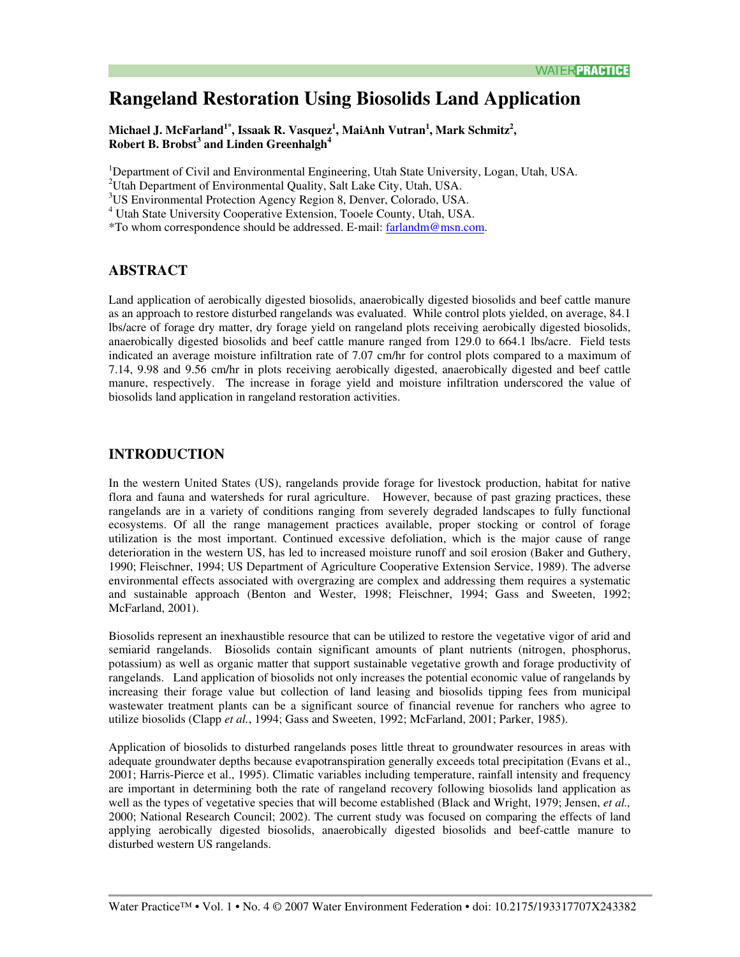# **Rangeland Restoration Using Biosolids Land Application**

Michael J. McFarland<sup>1\*</sup>, Issaak R. Vasquez<sup>1</sup>, MaiAnh Vutran<sup>1</sup>, Mark Schmitz<sup>2</sup>, Robert B. Brobst<sup>3</sup> and Linden Greenhalgh<sup>4</sup>

<sup>1</sup>Department of Civil and Environmental Engineering, Utah State University, Logan, Utah, USA.

<sup>2</sup>Utah Department of Environmental Quality, Salt Lake City, Utah, USA.

<sup>3</sup>US Environmental Protection Agency Region 8, Denver, Colorado, USA.

<sup>4</sup> Utah State University Cooperative Extension, Tooele County, Utah, USA.

\*To whom correspondence should be addressed. E-mail: farlandm@msn.com.

### **ABSTRACT**

Land application of aerobically digested biosolids, anaerobically digested biosolids and beef cattle manure as an approach to restore disturbed rangelands was evaluated. While control plots yielded, on average, 84.1 lbs/acre of forage dry matter, dry forage yield on rangeland plots receiving aerobically digested biosolids, anaerobically digested biosolids and beef cattle manure ranged from 129.0 to 664.1 lbs/acre. Field tests indicated an average moisture infiltration rate of 7.07 cm/hr for control plots compared to a maximum of 7.14, 9.98 and 9.56 cm/hr in plots receiving aerobically digested, anaerobically digested and beef cattle manure, respectively. The increase in forage yield and moisture infiltration underscored the value of biosolids land application in rangeland restoration activities.

### **INTRODUCTION**

In the western United States (US), rangelands provide forage for livestock production, habitat for native flora and fauna and watersheds for rural agriculture. However, because of past grazing practices, these rangelands are in a variety of conditions ranging from severely degraded landscapes to fully functional ecosystems. Of all the range management practices available, proper stocking or control of forage utilization is the most important. Continued excessive defoliation, which is the major cause of range deterioration in the western US, has led to increased moisture runoff and soil erosion (Baker and Guthery, 1990; Fleischner, 1994; US Department of Agriculture Cooperative Extension Service, 1989). The adverse environmental effects associated with overgrazing are complex and addressing them requires a systematic and sustainable approach (Benton and Wester, 1998; Fleischner, 1994; Gass and Sweeten, 1992; McFarland, 2001).

Biosolids represent an inexhaustible resource that can be utilized to restore the vegetative vigor of arid and semiarid rangelands. Biosolids contain significant amounts of plant nutrients (nitrogen, phosphorus, potassium) as well as organic matter that support sustainable vegetative growth and forage productivity of rangelands. Land application of biosolids not only increases the potential economic value of rangelands by increasing their forage value but collection of land leasing and biosolids tipping fees from municipal wastewater treatment plants can be a significant source of financial revenue for ranchers who agree to utilize biosolids (Clapp et al., 1994; Gass and Sweeten, 1992; McFarland, 2001; Parker, 1985).

Application of biosolids to disturbed rangelands poses little threat to groundwater resources in areas with adequate groundwater depths because evapotranspiration generally exceeds total precipitation (Evans et al., 2001; Harris-Pierce et al., 1995). Climatic variables including temperature, rainfall intensity and frequency are important in determining both the rate of rangeland recovery following biosolids land application as well as the types of vegetative species that will become established (Black and Wright, 1979; Jensen, et al., 2000; National Research Council; 2002). The current study was focused on comparing the effects of land applying aerobically digested biosolids, anaerobically digested biosolids and beef-cattle manure to disturbed western US rangelands.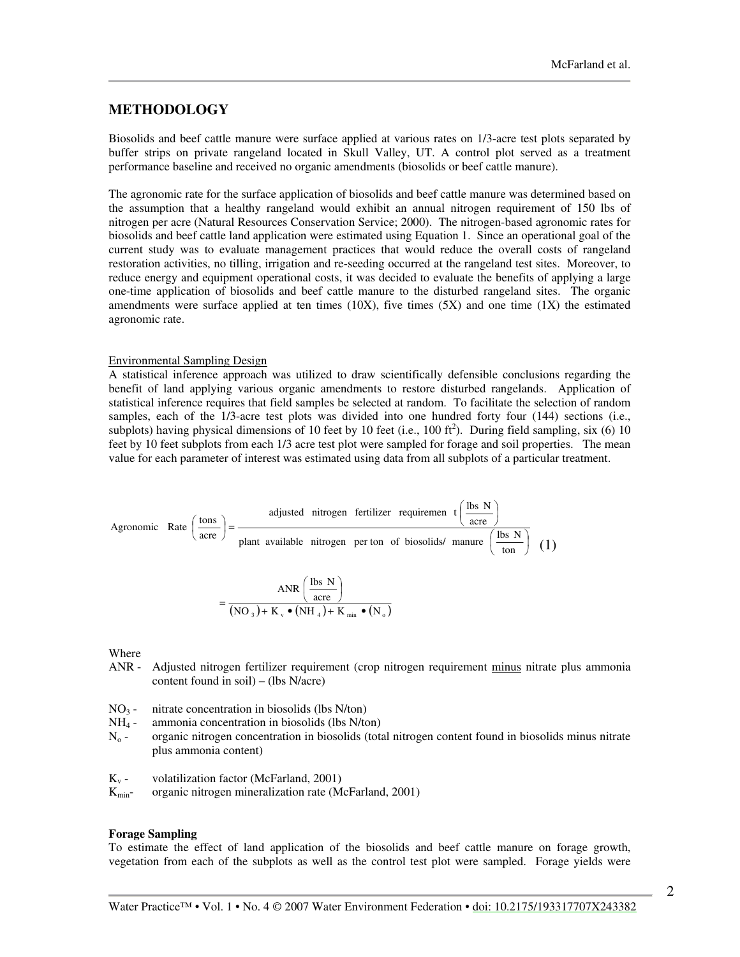### **METHODOLOGY**

Biosolids and beef cattle manure were surface applied at various rates on 1/3-acre test plots separated by buffer strips on private rangeland located in Skull Valley, UT. A control plot served as a treatment performance baseline and received no organic amendments (biosolids or beef cattle manure).

The agronomic rate for the surface application of biosolids and beef cattle manure was determined based on the assumption that a healthy rangeland would exhibit an annual nitrogen requirement of 150 lbs of nitrogen per acre (Natural Resources Conservation Service; 2000). The nitrogen-based agronomic rates for biosolids and beef cattle land application were estimated using Equation 1. Since an operational goal of the current study was to evaluate management practices that would reduce the overall costs of rangeland restoration activities, no tilling, irrigation and re-seeding occurred at the rangeland test sites. Moreover, to reduce energy and equipment operational costs, it was decided to evaluate the benefits of applying a large one-time application of biosolids and beef cattle manure to the disturbed rangeland sites. The organic amendments were surface applied at ten times  $(10X)$ , five times  $(5X)$  and one time  $(1X)$  the estimated agronomic rate.

#### **Environmental Sampling Design**

A statistical inference approach was utilized to draw scientifically defensible conclusions regarding the benefit of land applying various organic amendments to restore disturbed rangelands. Application of statistical inference requires that field samples be selected at random. To facilitate the selection of random samples, each of the 1/3-acre test plots was divided into one hundred forty four (144) sections (i.e., subplots) having physical dimensions of 10 feet by 10 feet (i.e., 100 ft<sup>2</sup>). During field sampling, six (6) 10 feet by 10 feet subplots from each 1/3 acre test plot were sampled for forage and soil properties. The mean value for each parameter of interest was estimated using data from all subplots of a particular treatment.

Agronomic Rate 
$$
\left(\frac{\text{tons}}{\text{acre}}\right) = \frac{\text{adjusted nitrogen fertilizer requirement } \left(\frac{\text{lbs N}}{\text{acre}}\right)}{\text{plant available nitrogen perton of biosolids/ manufacture } \left(\frac{\text{lbs N}}{\text{ton}}\right)}
$$
 (1)

$$
= \frac{\text{ANR}\left(\frac{\text{lbs N}}{\text{acre}}\right)}{\left(\text{NO}_3\right) + \text{K}_v \bullet \left(\text{NH}_4\right) + \text{K}_{\min} \bullet \left(\text{N}_o\right)}
$$

Where

- $ANR -$ Adjusted nitrogen fertilizer requirement (crop nitrogen requirement minus nitrate plus ammonia content found in soil) – (lbs  $N/acre$ )
- $NO<sub>3</sub>$  nitrate concentration in biosolids (lbs N/ton)
- $NH<sub>4</sub>$  ammonia concentration in biosolids (lbs N/ton)
- $N_0$  organic nitrogen concentration in biosolids (total nitrogen content found in biosolids minus nitrate plus ammonia content)
- $K_{v}$  volatilization factor (McFarland, 2001)
- organic nitrogen mineralization rate (McFarland, 2001)  $K_{\text{min}}$ -

#### **Forage Sampling**

To estimate the effect of land application of the biosolids and beef cattle manure on forage growth, vegetation from each of the subplots as well as the control test plot were sampled. Forage yields were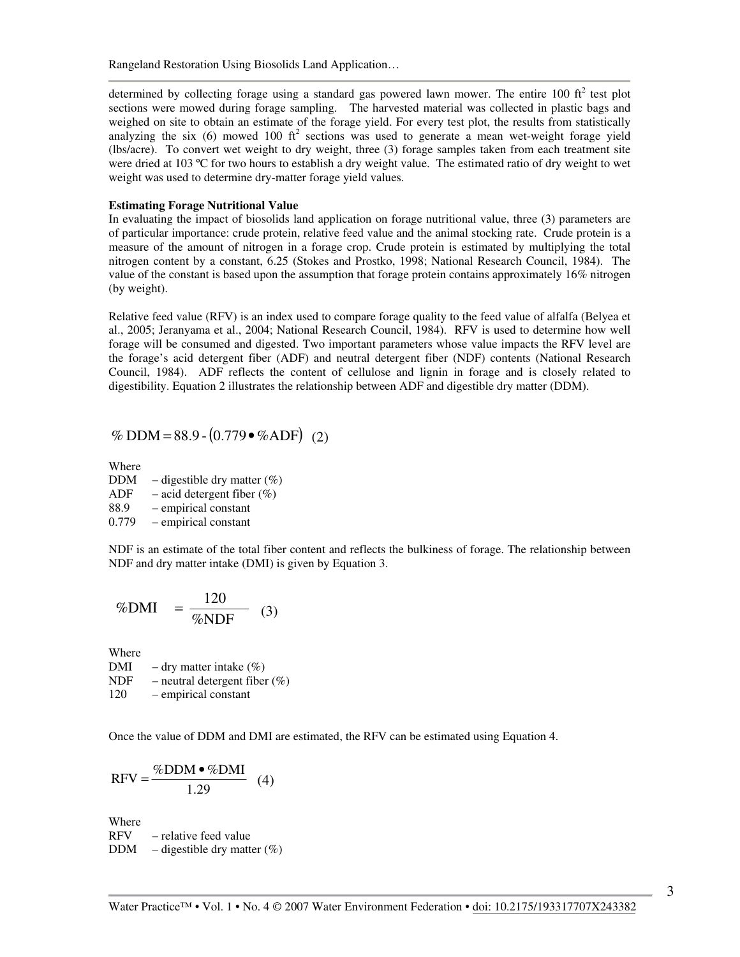Rangeland Restoration Using Biosolids Land Application...

determined by collecting forage using a standard gas powered lawn mower. The entire 100  $\text{ft}^2$  test plot sections were mowed during forage sampling. The harvested material was collected in plastic bags and weighed on site to obtain an estimate of the forage yield. For every test plot, the results from statistically analyzing the six (6) mowed 100  $ft^2$  sections was used to generate a mean wet-weight forage yield (lbs/acre). To convert wet weight to dry weight, three (3) forage samples taken from each treatment site were dried at 103 °C for two hours to establish a dry weight value. The estimated ratio of dry weight to wet weight was used to determine dry-matter forage yield values.

### **Estimating Forage Nutritional Value**

In evaluating the impact of biosolids land application on forage nutritional value, three (3) parameters are of particular importance: crude protein, relative feed value and the animal stocking rate. Crude protein is a measure of the amount of nitrogen in a forage crop. Crude protein is estimated by multiplying the total nitrogen content by a constant, 6.25 (Stokes and Prostko, 1998; National Research Council, 1984). The value of the constant is based upon the assumption that forage protein contains approximately 16% nitrogen (by weight).

Relative feed value (RFV) is an index used to compare forage quality to the feed value of alfalfa (Belyea et al., 2005; Jeranyama et al., 2004; National Research Council, 1984). RFV is used to determine how well forage will be consumed and digested. Two important parameters whose value impacts the RFV level are the forage's acid detergent fiber (ADF) and neutral detergent fiber (NDF) contents (National Research Council, 1984). ADF reflects the content of cellulose and lignin in forage and is closely related to digestibility. Equation 2 illustrates the relationship between ADF and digestible dry matter (DDM).

% DDM =  $88.9 - (0.779 \cdot \%ADF)$  (2)

Where **DDM**  $-$  digestible dry matter  $(\%)$ **ADF**  $-$  acid detergent fiber  $(\%)$ 88.9 - empirical constant 0.779 - empirical constant

NDF is an estimate of the total fiber content and reflects the bulkiness of forage. The relationship between NDF and dry matter intake (DMI) is given by Equation 3.

$$
\%DMI = \frac{120}{\%NDF} \quad (3)
$$

Where

 $-$  dry matter intake  $(\%)$ DMI **NDF** - neutral detergent fiber  $(\%)$ 120 - empirical constant

Once the value of DDM and DMI are estimated, the RFV can be estimated using Equation 4.

$$
RFV = \frac{\%DDM \bullet \%DMI}{1.29} \quad (4)
$$

Where **RFV** - relative feed value **DDM**  $-$  digestible dry matter  $(\%)$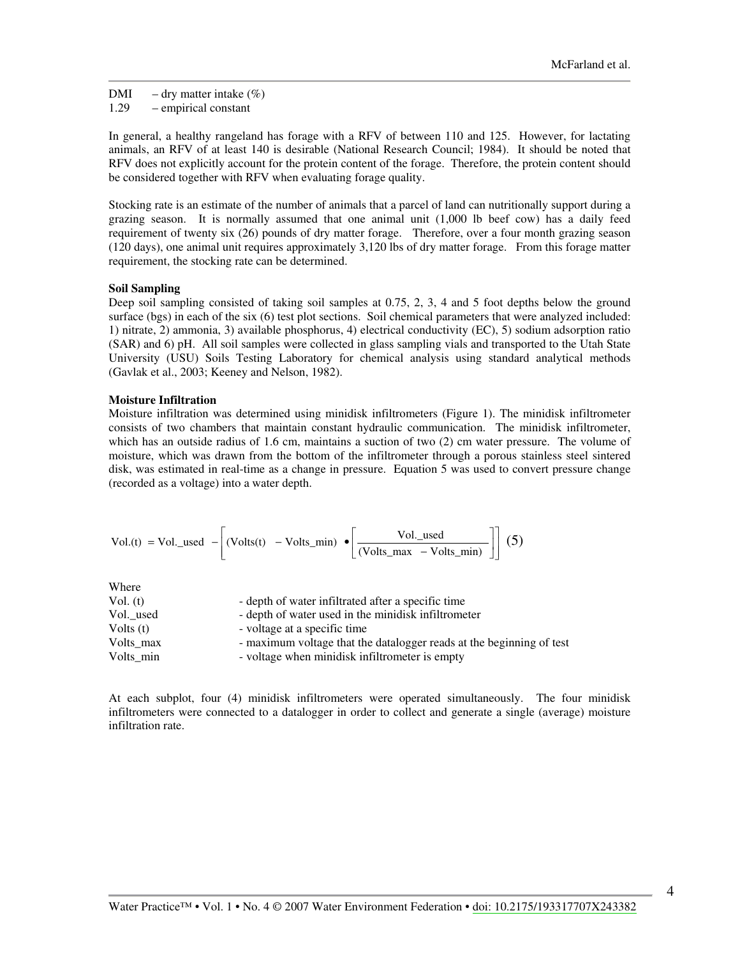$-$  dry matter intake  $(\%)$ DMI 1.29 - empirical constant

In general, a healthy rangeland has forage with a RFV of between 110 and 125. However, for lactating animals, an RFV of at least 140 is desirable (National Research Council; 1984). It should be noted that RFV does not explicitly account for the protein content of the forage. Therefore, the protein content should be considered together with RFV when evaluating forage quality.

Stocking rate is an estimate of the number of animals that a parcel of land can nutritionally support during a grazing season. It is normally assumed that one animal unit (1,000 lb beef cow) has a daily feed requirement of twenty six (26) pounds of dry matter forage. Therefore, over a four month grazing season (120 days), one animal unit requires approximately 3,120 lbs of dry matter forage. From this forage matter requirement, the stocking rate can be determined.

#### **Soil Sampling**

Deep soil sampling consisted of taking soil samples at 0.75, 2, 3, 4 and 5 foot depths below the ground surface (bgs) in each of the six (6) test plot sections. Soil chemical parameters that were analyzed included: 1) nitrate, 2) ammonia, 3) available phosphorus, 4) electrical conductivity (EC), 5) sodium adsorption ratio (SAR) and 6) pH. All soil samples were collected in glass sampling vials and transported to the Utah State University (USU) Soils Testing Laboratory for chemical analysis using standard analytical methods (Gavlak et al., 2003; Keeney and Nelson, 1982).

#### **Moisture Infiltration**

Moisture infiltration was determined using minidisk infiltrometers (Figure 1). The minidisk infiltrometer consists of two chambers that maintain constant hydraulic communication. The minidisk infiltrometer, which has an outside radius of 1.6 cm, maintains a suction of two  $(2)$  cm water pressure. The volume of moisture, which was drawn from the bottom of the infiltrometer through a porous stainless steel sintered disk, was estimated in real-time as a change in pressure. Equation 5 was used to convert pressure change (recorded as a voltage) into a water depth.

$$
Vol.(t) = Vol\_used - \left[ (Volts(t) - Volts\_min) \bullet \left[ \frac{Vol._used}{(Volts\_max - Volts\_min)} \right] \right] (5)
$$

Where

| Vol. (t)    | - depth of water infiltrated after a specific time                   |
|-------------|----------------------------------------------------------------------|
| Vol. used   | - depth of water used in the minidisk infiltrometer                  |
| Volts $(t)$ | - voltage at a specific time                                         |
| Volts max   | - maximum voltage that the datalogger reads at the beginning of test |
| Volts min   | - voltage when minidisk infiltrometer is empty                       |

At each subplot, four (4) minidisk infiltrometers were operated simultaneously. The four minidisk infiltrometers were connected to a datalogger in order to collect and generate a single (average) moisture infiltration rate.

 $\overline{4}$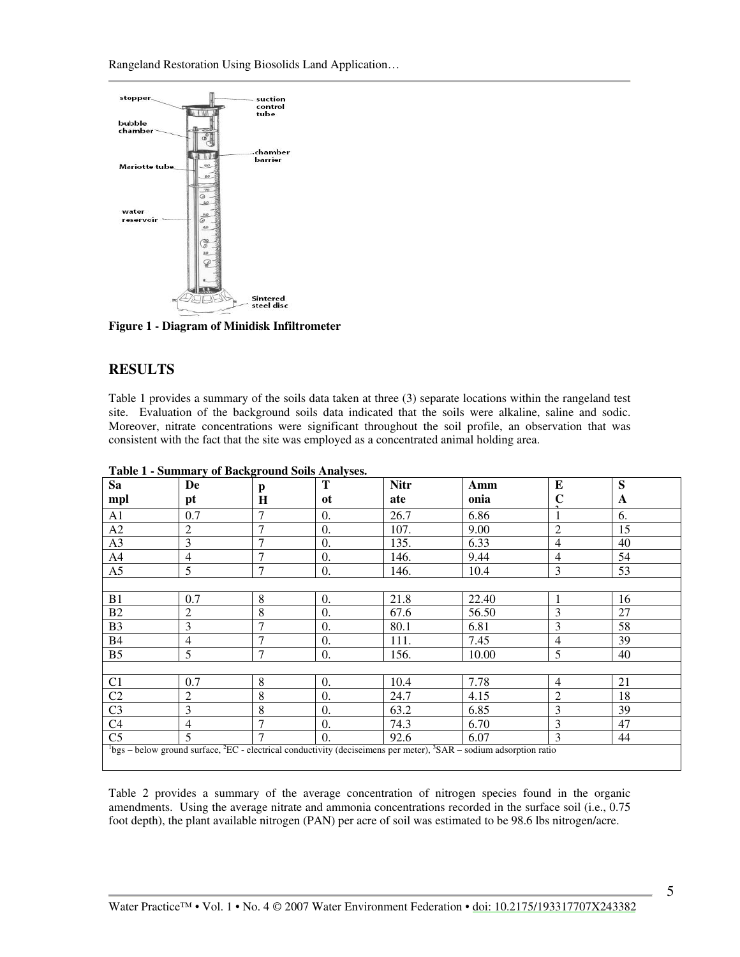Rangeland Restoration Using Biosolids Land Application...



Figure 1 - Diagram of Minidisk Infiltrometer

## **RESULTS**

Table 1 provides a summary of the soils data taken at three (3) separate locations within the rangeland test site. Evaluation of the background soils data indicated that the soils were alkaline, saline and sodic. Moreover, nitrate concentrations were significant throughout the soil profile, an observation that was consistent with the fact that the site was employed as a concentrated animal holding area.

| Sa             | De                                                                                                                                         | p              | T          | <b>Nitr</b> | Amm   | $\bf{E}$       | S  |  |  |  |
|----------------|--------------------------------------------------------------------------------------------------------------------------------------------|----------------|------------|-------------|-------|----------------|----|--|--|--|
| mpl            | pt                                                                                                                                         | H              | ot         | ate         | onia  | C              | A  |  |  |  |
| A <sub>1</sub> | 0.7                                                                                                                                        | 7              | 0.         | 26.7        | 6.86  |                | 6. |  |  |  |
| A2             | 2                                                                                                                                          | 7              | 0.         | 107.        | 9.00  | $\overline{2}$ | 15 |  |  |  |
| A3             | 3                                                                                                                                          | 7              | 0.         | 135.        | 6.33  | 4              | 40 |  |  |  |
| A4             | $\overline{4}$                                                                                                                             | $\overline{7}$ | 0.         | 146.        | 9.44  | $\overline{4}$ | 54 |  |  |  |
| A5             | 5                                                                                                                                          | $\overline{7}$ | $\theta$ . | 146.        | 10.4  | 3              | 53 |  |  |  |
|                |                                                                                                                                            |                |            |             |       |                |    |  |  |  |
| B1             | 0.7                                                                                                                                        | 8              | $\Omega$ . | 21.8        | 22.40 | 1              | 16 |  |  |  |
| B2             | 2                                                                                                                                          | 8              | 0.         | 67.6        | 56.50 | 3              | 27 |  |  |  |
| B <sub>3</sub> | 3                                                                                                                                          | 7              | 0.         | 80.1        | 6.81  | 3              | 58 |  |  |  |
| <b>B4</b>      | 4                                                                                                                                          | 7              | 0.         | 111.        | 7.45  | 4              | 39 |  |  |  |
| B <sub>5</sub> | 5                                                                                                                                          | $\overline{7}$ | 0.         | 156.        | 10.00 | 5              | 40 |  |  |  |
|                |                                                                                                                                            |                |            |             |       |                |    |  |  |  |
| C <sub>1</sub> | 0.7                                                                                                                                        | 8              | 0.         | 10.4        | 7.78  | $\overline{4}$ | 21 |  |  |  |
| C2             | $\overline{2}$                                                                                                                             | 8              | 0.         | 24.7        | 4.15  | $\overline{2}$ | 18 |  |  |  |
| C <sub>3</sub> | 3                                                                                                                                          | 8              | 0.         | 63.2        | 6.85  | 3              | 39 |  |  |  |
| C <sub>4</sub> | 4                                                                                                                                          | 7              | 0.         | 74.3        | 6.70  | 3              | 47 |  |  |  |
| C <sub>5</sub> | 5                                                                                                                                          | $\mathcal{I}$  | 0.         | 92.6        | 6.07  | 3              | 44 |  |  |  |
|                | ${}^{1}$ bgs – below ground surface, ${}^{2}$ EC - electrical conductivity (deciseimens per meter), ${}^{3}$ SAR – sodium adsorption ratio |                |            |             |       |                |    |  |  |  |

**Table 1 - Summary of Background Soils Analyses.** 

Table 2 provides a summary of the average concentration of nitrogen species found in the organic amendments. Using the average nitrate and ammonia concentrations recorded in the surface soil (i.e., 0.75) foot depth), the plant available nitrogen (PAN) per acre of soil was estimated to be 98.6 lbs nitrogen/acre.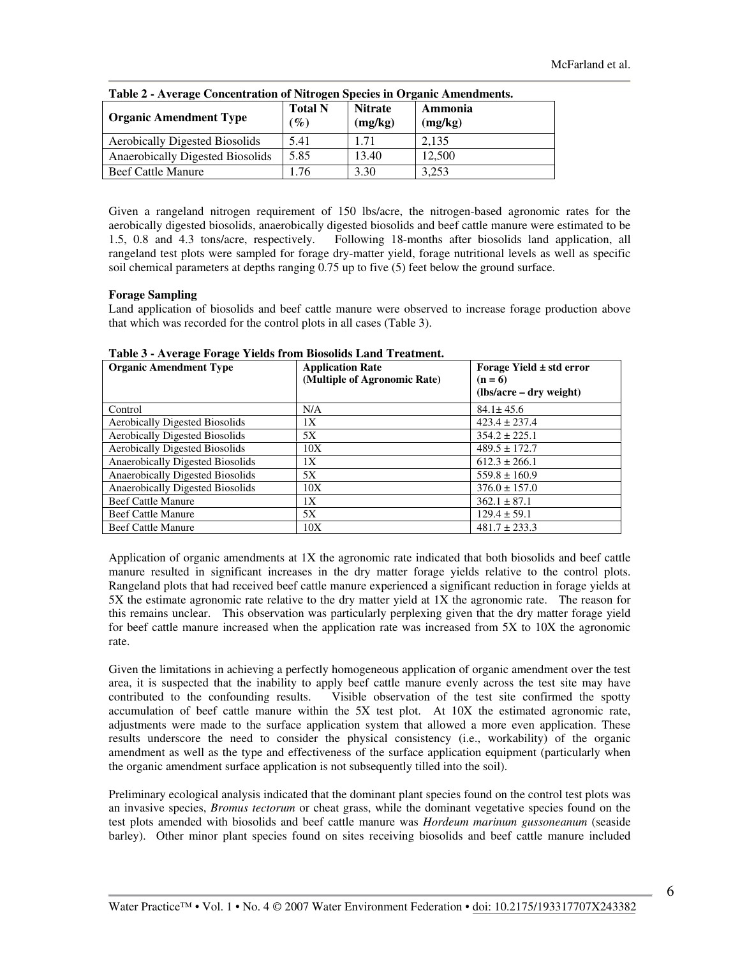| Table 2 - Average Concentration of Nitrogen Species in Organic Amendments. |                                   |                           |                    |  |  |  |  |
|----------------------------------------------------------------------------|-----------------------------------|---------------------------|--------------------|--|--|--|--|
| <b>Organic Amendment Type</b>                                              | <b>Total N</b><br>$\mathscr{G}_o$ | <b>Nitrate</b><br>(mg/kg) | Ammonia<br>(mg/kg) |  |  |  |  |
| <b>Aerobically Digested Biosolids</b>                                      | 5.41                              | 1.71                      | 2.135              |  |  |  |  |
| Anaerobically Digested Biosolids                                           | 5.85                              | 13.40                     | 12.500             |  |  |  |  |
| <b>Beef Cattle Manure</b>                                                  | .76                               | 3.30                      | 3.253              |  |  |  |  |
|                                                                            |                                   |                           |                    |  |  |  |  |

 $\sim$ 

Given a rangeland nitrogen requirement of 150 lbs/acre, the nitrogen-based agronomic rates for the aerobically digested biosolids, anaerobically digested biosolids and beef cattle manure were estimated to be Following 18-months after biosolids land application, all 1.5, 0.8 and 4.3 tons/acre, respectively. rangeland test plots were sampled for forage dry-matter yield, forage nutritional levels as well as specific soil chemical parameters at depths ranging  $0.75$  up to five  $(5)$  feet below the ground surface.

#### **Forage Sampling**

Land application of biosolids and beef cattle manure were observed to increase forage production above that which was recorded for the control plots in all cases (Table 3).

| <b>Organic Amendment Type</b>           | <b>Application Rate</b><br>(Multiple of Agronomic Rate) | Forage Yield $\pm$ std error<br>$(n = 6)$<br>$(lbs/acre - dry weight)$ |
|-----------------------------------------|---------------------------------------------------------|------------------------------------------------------------------------|
| Control                                 | N/A                                                     | $84.1 \pm 45.6$                                                        |
| <b>Aerobically Digested Biosolids</b>   | 1Х                                                      | $423.4 \pm 237.4$                                                      |
| <b>Aerobically Digested Biosolids</b>   | 5X                                                      | $354.2 \pm 225.1$                                                      |
| <b>Aerobically Digested Biosolids</b>   | 10X                                                     | $489.5 \pm 172.7$                                                      |
| <b>Anaerobically Digested Biosolids</b> | 1X                                                      | $612.3 \pm 266.1$                                                      |
| Anaerobically Digested Biosolids        | 5X                                                      | $559.8 \pm 160.9$                                                      |
| Anaerobically Digested Biosolids        | 10X                                                     | $376.0 \pm 157.0$                                                      |
| <b>Beef Cattle Manure</b>               | 1X                                                      | $362.1 \pm 87.1$                                                       |
| <b>Beef Cattle Manure</b>               | 5X                                                      | $129.4 \pm 59.1$                                                       |
| <b>Beef Cattle Manure</b>               | 10X                                                     | $481.7 \pm 233.3$                                                      |

Table 3 - Average Forage Yields from Biosolids Land Treatment.

Application of organic amendments at 1X the agronomic rate indicated that both biosolids and beef cattle manure resulted in significant increases in the dry matter forage yields relative to the control plots. Rangeland plots that had received beef cattle manure experienced a significant reduction in forage yields at 5X the estimate agronomic rate relative to the dry matter yield at 1X the agronomic rate. The reason for this remains unclear. This observation was particularly perplexing given that the dry matter forage yield for beef cattle manure increased when the application rate was increased from 5X to 10X the agronomic rate.

Given the limitations in achieving a perfectly homogeneous application of organic amendment over the test area, it is suspected that the inability to apply beef cattle manure evenly across the test site may have contributed to the confounding results. Visible observation of the test site confirmed the spotty accumulation of beef cattle manure within the 5X test plot. At 10X the estimated agronomic rate, adjustments were made to the surface application system that allowed a more even application. These results underscore the need to consider the physical consistency (i.e., workability) of the organic amendment as well as the type and effectiveness of the surface application equipment (particularly when the organic amendment surface application is not subsequently tilled into the soil).

Preliminary ecological analysis indicated that the dominant plant species found on the control test plots was an invasive species, *Bromus tectorum* or cheat grass, while the dominant vegetative species found on the test plots amended with biosolids and beef cattle manure was *Hordeum marinum gussoneanum* (seaside barley). Other minor plant species found on sites receiving biosolids and beef cattle manure included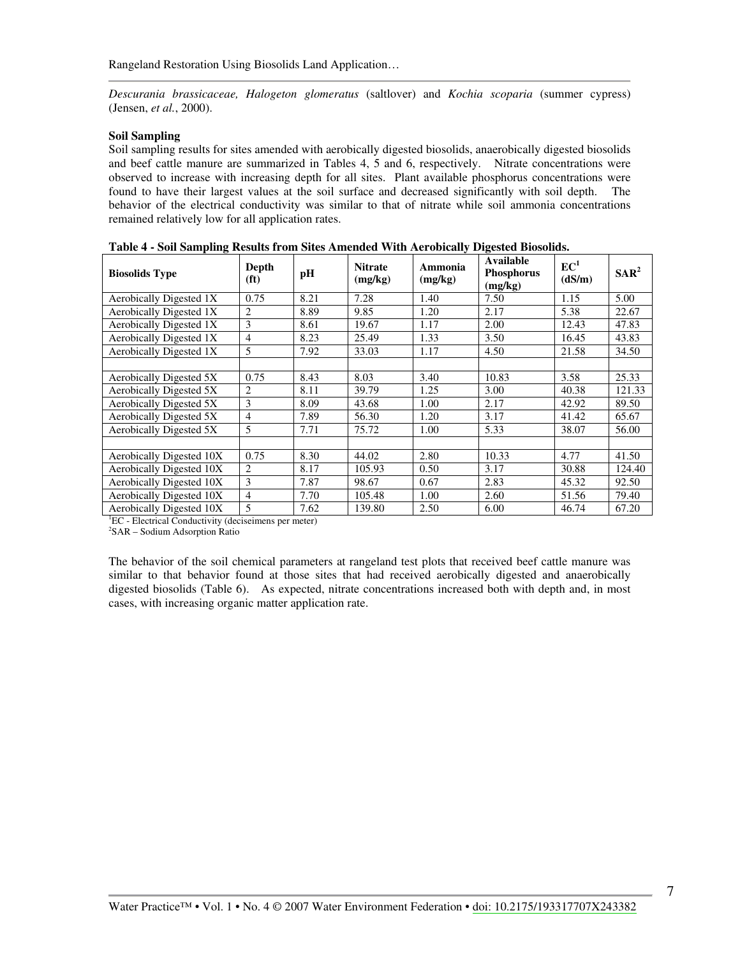Descurania brassicaceae, Halogeton glomeratus (saltlover) and Kochia scoparia (summer cypress) (Jensen, et al., 2000).

#### **Soil Sampling**

Soil sampling results for sites amended with aerobically digested biosolids, anaerobically digested biosolids and beef cattle manure are summarized in Tables 4, 5 and 6, respectively. Nitrate concentrations were observed to increase with increasing depth for all sites. Plant available phosphorus concentrations were found to have their largest values at the soil surface and decreased significantly with soil depth. The behavior of the electrical conductivity was similar to that of nitrate while soil ammonia concentrations remained relatively low for all application rates.

| <b>Biosolids Type</b>    | Depth<br>(f <sup>t</sup> ) | pH   | <b>Nitrate</b><br>(mg/kg) | Ammonia<br>(mg/kg) | Available<br><b>Phosphorus</b><br>(mg/kg) | EC <sup>1</sup><br>(dS/m) | SAR <sup>2</sup> |
|--------------------------|----------------------------|------|---------------------------|--------------------|-------------------------------------------|---------------------------|------------------|
| Aerobically Digested 1X  | 0.75                       | 8.21 | 7.28                      | 1.40               | 7.50                                      | 1.15                      | 5.00             |
| Aerobically Digested 1X  | 2                          | 8.89 | 9.85                      | 1.20               | 2.17                                      | 5.38                      | 22.67            |
| Aerobically Digested 1X  | 3                          | 8.61 | 19.67                     | 1.17               | 2.00                                      | 12.43                     | 47.83            |
| Aerobically Digested 1X  | $\overline{4}$             | 8.23 | 25.49                     | 1.33               | 3.50                                      | 16.45                     | 43.83            |
| Aerobically Digested 1X  | 5                          | 7.92 | 33.03                     | 1.17               | 4.50                                      | 21.58                     | 34.50            |
|                          |                            |      |                           |                    |                                           |                           |                  |
| Aerobically Digested 5X  | 0.75                       | 8.43 | 8.03                      | 3.40               | 10.83                                     | 3.58                      | 25.33            |
| Aerobically Digested 5X  | 2                          | 8.11 | 39.79                     | 1.25               | 3.00                                      | 40.38                     | 121.33           |
| Aerobically Digested 5X  | 3                          | 8.09 | 43.68                     | 1.00               | 2.17                                      | 42.92                     | 89.50            |
| Aerobically Digested 5X  | $\overline{4}$             | 7.89 | 56.30                     | 1.20               | 3.17                                      | 41.42                     | 65.67            |
| Aerobically Digested 5X  | 5                          | 7.71 | 75.72                     | 1.00               | 5.33                                      | 38.07                     | 56.00            |
|                          |                            |      |                           |                    |                                           |                           |                  |
| Aerobically Digested 10X | 0.75                       | 8.30 | 44.02                     | 2.80               | 10.33                                     | 4.77                      | 41.50            |
| Aerobically Digested 10X | 2                          | 8.17 | 105.93                    | 0.50               | 3.17                                      | 30.88                     | 124.40           |
| Aerobically Digested 10X | 3                          | 7.87 | 98.67                     | 0.67               | 2.83                                      | 45.32                     | 92.50            |
| Aerobically Digested 10X | $\overline{4}$             | 7.70 | 105.48                    | 1.00               | 2.60                                      | 51.56                     | 79.40            |
| Aerobically Digested 10X | 5                          | 7.62 | 139.80                    | 2.50               | 6.00                                      | 46.74                     | 67.20            |

| Table 4 - Soil Sampling Results from Sites Amended With Aerobically Digested Biosolids. |
|-----------------------------------------------------------------------------------------|
|-----------------------------------------------------------------------------------------|

<sup>1</sup>EC - Electrical Conductivity (deciseimens per meter)

<sup>2</sup>SAR - Sodium Adsorption Ratio

The behavior of the soil chemical parameters at rangeland test plots that received beef cattle manure was similar to that behavior found at those sites that had received aerobically digested and anaerobically digested biosolids (Table 6). As expected, nitrate concentrations increased both with depth and, in most cases, with increasing organic matter application rate.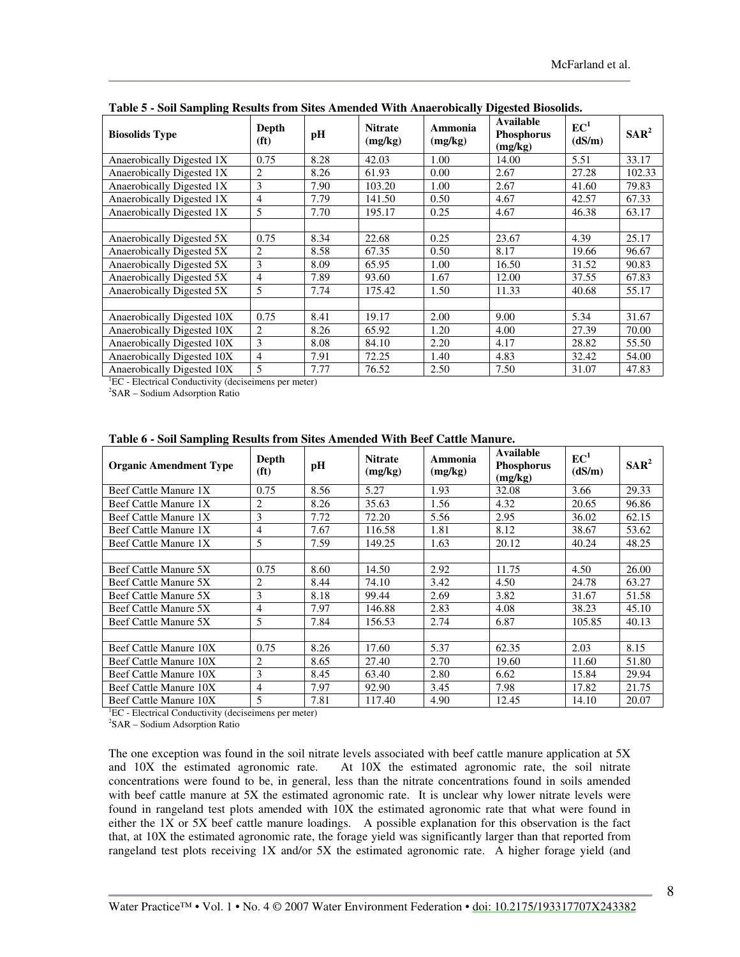| <b>Biosolids Type</b>      | Depth<br>(f <sup>t</sup> ) | pH   | <b>Nitrate</b><br>(mg/kg) | Ammonia<br>(mg/kg) | Available<br><b>Phosphorus</b><br>(mg/kg) | EC <sup>1</sup><br>(dS/m) | $SAR^2$ |
|----------------------------|----------------------------|------|---------------------------|--------------------|-------------------------------------------|---------------------------|---------|
| Anaerobically Digested 1X  | 0.75                       | 8.28 | 42.03                     | 1.00               | 14.00                                     | 5.51                      | 33.17   |
| Anaerobically Digested 1X  | 2                          | 8.26 | 61.93                     | 0.00               | 2.67                                      | 27.28                     | 102.33  |
| Anaerobically Digested 1X  | 3                          | 7.90 | 103.20                    | 1.00               | 2.67                                      | 41.60                     | 79.83   |
| Anaerobically Digested 1X  | $\overline{4}$             | 7.79 | 141.50                    | 0.50               | 4.67                                      | 42.57                     | 67.33   |
| Anaerobically Digested 1X  | 5                          | 7.70 | 195.17                    | 0.25               | 4.67                                      | 46.38                     | 63.17   |
|                            |                            |      |                           |                    |                                           |                           |         |
| Anaerobically Digested 5X  | 0.75                       | 8.34 | 22.68                     | 0.25               | 23.67                                     | 4.39                      | 25.17   |
| Anaerobically Digested 5X  | 2                          | 8.58 | 67.35                     | 0.50               | 8.17                                      | 19.66                     | 96.67   |
| Anaerobically Digested 5X  | 3                          | 8.09 | 65.95                     | 1.00               | 16.50                                     | 31.52                     | 90.83   |
| Anaerobically Digested 5X  | 4                          | 7.89 | 93.60                     | 1.67               | 12.00                                     | 37.55                     | 67.83   |
| Anaerobically Digested 5X  | 5                          | 7.74 | 175.42                    | 1.50               | 11.33                                     | 40.68                     | 55.17   |
|                            |                            |      |                           |                    |                                           |                           |         |
| Anaerobically Digested 10X | 0.75                       | 8.41 | 19.17                     | 2.00               | 9.00                                      | 5.34                      | 31.67   |
| Anaerobically Digested 10X | $\overline{c}$             | 8.26 | 65.92                     | 1.20               | 4.00                                      | 27.39                     | 70.00   |
| Anaerobically Digested 10X | 3                          | 8.08 | 84.10                     | 2.20               | 4.17                                      | 28.82                     | 55.50   |
| Anaerobically Digested 10X | 4                          | 7.91 | 72.25                     | 1.40               | 4.83                                      | 32.42                     | 54.00   |
| Anaerobically Digested 10X | 5                          | 7.77 | 76.52                     | 2.50               | 7.50                                      | 31.07                     | 47.83   |

Table 5 - Soil Sampling Results from Sites Amended With Anaerobically Digested Biosolids.

<sup>1</sup>EC - Electrical Conductivity (deciseimens per meter)

<sup>2</sup>SAR - Sodium Adsorption Ratio

| Table 6 - Soil Sampling Results from Sites Amended With Beef Cattle Manure. |  |  |  |
|-----------------------------------------------------------------------------|--|--|--|
|                                                                             |  |  |  |

| <b>Organic Amendment Type</b> | Depth<br>(f <sup>t</sup> ) | рH   | <b>Nitrate</b><br>(mg/kg) | Ammonia<br>(mg/kg) | Available<br><b>Phosphorus</b><br>(mg/kg) | EC <sup>1</sup><br>(dS/m) | $SAR^2$ |
|-------------------------------|----------------------------|------|---------------------------|--------------------|-------------------------------------------|---------------------------|---------|
| Beef Cattle Manure 1X         | 0.75                       | 8.56 | 5.27                      | 1.93               | 32.08                                     | 3.66                      | 29.33   |
| Beef Cattle Manure 1X         | $\overline{c}$             | 8.26 | 35.63                     | 1.56               | 4.32                                      | 20.65                     | 96.86   |
| Beef Cattle Manure 1X         | 3                          | 7.72 | 72.20                     | 5.56               | 2.95                                      | 36.02                     | 62.15   |
| Beef Cattle Manure 1X         | 4                          | 7.67 | 116.58                    | 1.81               | 8.12                                      | 38.67                     | 53.62   |
| Beef Cattle Manure 1X         | 5                          | 7.59 | 149.25                    | 1.63               | 20.12                                     | 40.24                     | 48.25   |
|                               |                            |      |                           |                    |                                           |                           |         |
| Beef Cattle Manure 5X         | 0.75                       | 8.60 | 14.50                     | 2.92               | 11.75                                     | 4.50                      | 26.00   |
| Beef Cattle Manure 5X         | $\overline{c}$             | 8.44 | 74.10                     | 3.42               | 4.50                                      | 24.78                     | 63.27   |
| Beef Cattle Manure 5X         | 3                          | 8.18 | 99.44                     | 2.69               | 3.82                                      | 31.67                     | 51.58   |
| Beef Cattle Manure 5X         | $\overline{4}$             | 7.97 | 146.88                    | 2.83               | 4.08                                      | 38.23                     | 45.10   |
| Beef Cattle Manure 5X         | 5                          | 7.84 | 156.53                    | 2.74               | 6.87                                      | 105.85                    | 40.13   |
|                               |                            |      |                           |                    |                                           |                           |         |
| Beef Cattle Manure 10X        | 0.75                       | 8.26 | 17.60                     | 5.37               | 62.35                                     | 2.03                      | 8.15    |
| Beef Cattle Manure 10X        | 2                          | 8.65 | 27.40                     | 2.70               | 19.60                                     | 11.60                     | 51.80   |
| Beef Cattle Manure 10X        | 3                          | 8.45 | 63.40                     | 2.80               | 6.62                                      | 15.84                     | 29.94   |
| Beef Cattle Manure 10X        | 4                          | 7.97 | 92.90                     | 3.45               | 7.98                                      | 17.82                     | 21.75   |
| Beef Cattle Manure 10X        | $\overline{\phantom{0}}$   | 7.81 | 117.40                    | 4.90               | 12.45                                     | 14.10                     | 20.07   |

<sup>1</sup>EC - Electrical Conductivity (deciseimens per meter)

<sup>2</sup>SAR - Sodium Adsorption Ratio

The one exception was found in the soil nitrate levels associated with beef cattle manure application at 5X and 10X the estimated agronomic rate. At 10X the estimated agronomic rate, the soil nitrate concentrations were found to be, in general, less than the nitrate concentrations found in soils amended with beef cattle manure at 5X the estimated agronomic rate. It is unclear why lower nitrate levels were found in rangeland test plots amended with 10X the estimated agronomic rate that what were found in either the 1X or 5X beef cattle manure loadings. A possible explanation for this observation is the fact that, at 10X the estimated agronomic rate, the forage yield was significantly larger than that reported from rangeland test plots receiving 1X and/or 5X the estimated agronomic rate. A higher forage yield (and

8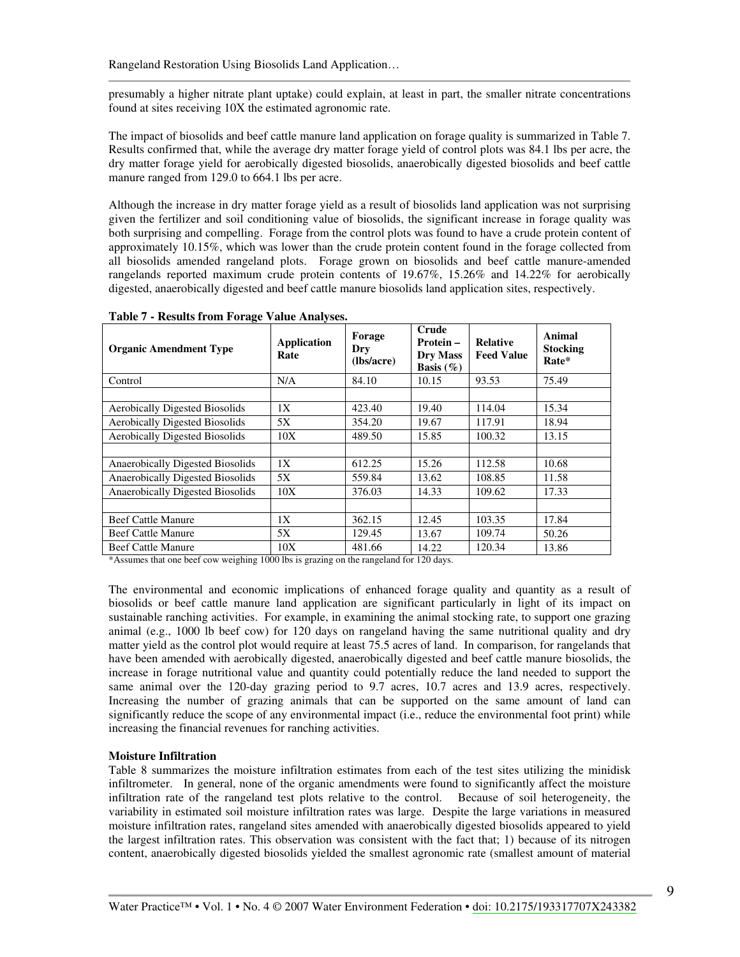presumably a higher nitrate plant uptake) could explain, at least in part, the smaller nitrate concentrations found at sites receiving 10X the estimated agronomic rate.

The impact of biosolids and beef cattle manure land application on forage quality is summarized in Table 7. Results confirmed that, while the average dry matter forage yield of control plots was 84.1 lbs per acre, the dry matter forage yield for aerobically digested biosolids, anaerobically digested biosolids and beef cattle manure ranged from 129.0 to 664.1 lbs per acre.

Although the increase in dry matter forage yield as a result of biosolids land application was not surprising given the fertilizer and soil conditioning value of biosolids, the significant increase in forage quality was both surprising and compelling. Forage from the control plots was found to have a crude protein content of approximately 10.15%, which was lower than the crude protein content found in the forage collected from all biosolids amended rangeland plots. Forage grown on biosolids and beef cattle manure-amended rangelands reported maximum crude protein contents of 19.67%, 15.26% and 14.22% for aerobically digested, anaerobically digested and beef cattle manure biosolids land application sites, respectively.

| <b>Organic Amendment Type</b>           | Application<br>Rate | Forage<br>Dry<br>(lbs/acre) | Crude<br>Protein-<br><b>Dry Mass</b><br>Basis $(\% )$ | <b>Relative</b><br><b>Feed Value</b> | Animal<br><b>Stocking</b><br>Rate* |
|-----------------------------------------|---------------------|-----------------------------|-------------------------------------------------------|--------------------------------------|------------------------------------|
| Control                                 | N/A                 | 84.10                       | 10.15                                                 | 93.53                                | 75.49                              |
|                                         |                     |                             |                                                       |                                      |                                    |
| <b>Aerobically Digested Biosolids</b>   | 1X                  | 423.40                      | 19.40                                                 | 114.04                               | 15.34                              |
| <b>Aerobically Digested Biosolids</b>   | 5X                  | 354.20                      | 19.67                                                 | 117.91                               | 18.94                              |
| <b>Aerobically Digested Biosolids</b>   | 10X                 | 489.50                      | 15.85                                                 | 100.32                               | 13.15                              |
|                                         |                     |                             |                                                       |                                      |                                    |
| <b>Anaerobically Digested Biosolids</b> | 1X                  | 612.25                      | 15.26                                                 | 112.58                               | 10.68                              |
| Anaerobically Digested Biosolids        | 5X                  | 559.84                      | 13.62                                                 | 108.85                               | 11.58                              |
| Anaerobically Digested Biosolids        | 10X                 | 376.03                      | 14.33                                                 | 109.62                               | 17.33                              |
|                                         |                     |                             |                                                       |                                      |                                    |
| <b>Beef Cattle Manure</b>               | 1X                  | 362.15                      | 12.45                                                 | 103.35                               | 17.84                              |
| <b>Beef Cattle Manure</b>               | 5X                  | 129.45                      | 13.67                                                 | 109.74                               | 50.26                              |
| <b>Beef Cattle Manure</b>               | 10X                 | 481.66                      | 14.22                                                 | 120.34                               | 13.86                              |
|                                         |                     |                             |                                                       |                                      |                                    |

Table 7 - Results from Forage Value Analyses.

\*Assumes that one beef cow weighing 1000 lbs is grazing on the rangeland for 120 days.

The environmental and economic implications of enhanced forage quality and quantity as a result of biosolids or beef cattle manure land application are significant particularly in light of its impact on sustainable ranching activities. For example, in examining the animal stocking rate, to support one grazing animal (e.g., 1000 lb beef cow) for 120 days on rangeland having the same nutritional quality and dry matter yield as the control plot would require at least 75.5 acres of land. In comparison, for rangelands that have been amended with aerobically digested, anaerobically digested and beef cattle manure biosolids, the increase in forage nutritional value and quantity could potentially reduce the land needed to support the same animal over the 120-day grazing period to 9.7 acres, 10.7 acres and 13.9 acres, respectively. Increasing the number of grazing animals that can be supported on the same amount of land can significantly reduce the scope of any environmental impact (i.e., reduce the environmental foot print) while increasing the financial revenues for ranching activities.

### **Moisture Infiltration**

Table 8 summarizes the moisture infiltration estimates from each of the test sites utilizing the minidisk infiltrometer. In general, none of the organic amendments were found to significantly affect the moisture infiltration rate of the rangeland test plots relative to the control. Because of soil heterogeneity, the variability in estimated soil moisture infiltration rates was large. Despite the large variations in measured moisture infiltration rates, rangeland sites amended with anaerobically digested biosolids appeared to yield the largest infiltration rates. This observation was consistent with the fact that; 1) because of its nitrogen content, anaerobically digested biosolids yielded the smallest agronomic rate (smallest amount of material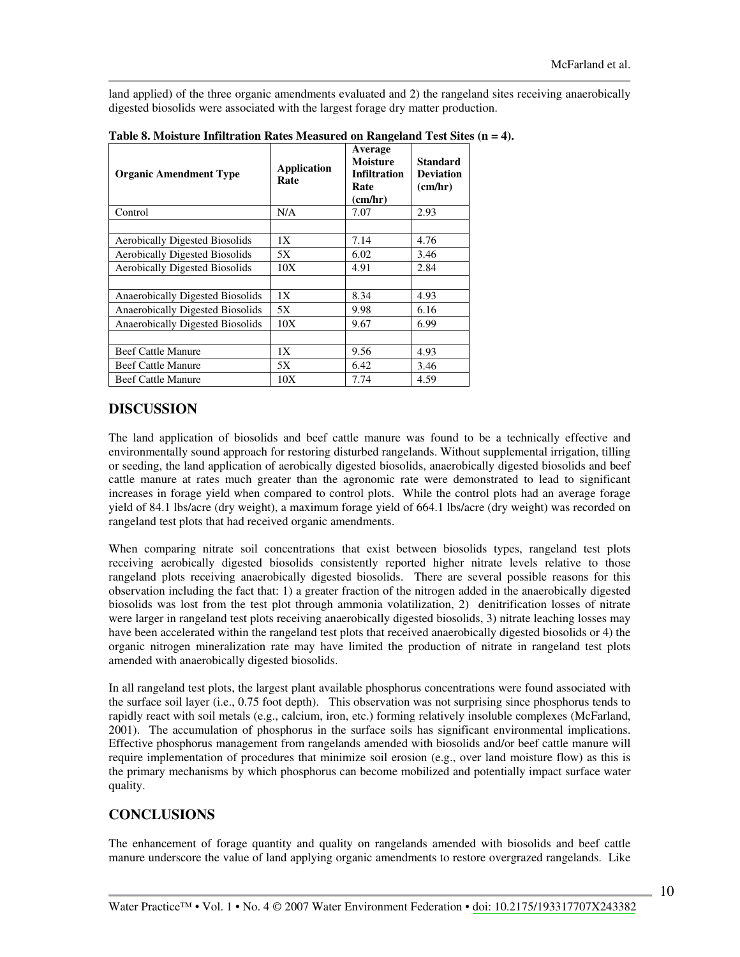land applied) of the three organic amendments evaluated and 2) the rangeland sites receiving anaerobically digested biosolids were associated with the largest forage dry matter production.

| <b>Organic Amendment Type</b>           | <b>Application</b><br>Rate | Average<br><b>Moisture</b><br><b>Infiltration</b><br>Rate<br>(cm/hr) | <b>Standard</b><br><b>Deviation</b><br>(cm/hr) |
|-----------------------------------------|----------------------------|----------------------------------------------------------------------|------------------------------------------------|
| Control                                 | N/A                        | 7.07                                                                 | 2.93                                           |
|                                         |                            |                                                                      |                                                |
| <b>Aerobically Digested Biosolids</b>   | 1X                         | 7.14                                                                 | 4.76                                           |
| <b>Aerobically Digested Biosolids</b>   | 5X                         | 6.02                                                                 | 3.46                                           |
| <b>Aerobically Digested Biosolids</b>   | 10X                        | 4.91                                                                 | 2.84                                           |
|                                         |                            |                                                                      |                                                |
| <b>Anaerobically Digested Biosolids</b> | 1X                         | 8.34                                                                 | 4.93                                           |
| Anaerobically Digested Biosolids        | 5X                         | 9.98                                                                 | 6.16                                           |
| Anaerobically Digested Biosolids        | 10X                        | 9.67                                                                 | 6.99                                           |
|                                         |                            |                                                                      |                                                |
| <b>Beef Cattle Manure</b>               | 1X                         | 9.56                                                                 | 4.93                                           |
| <b>Beef Cattle Manure</b>               | 5X                         | 6.42                                                                 | 3.46                                           |
| <b>Beef Cattle Manure</b>               | 10X                        | 7.74                                                                 | 4.59                                           |

|  | Table 8. Moisture Infiltration Rates Measured on Rangeland Test Sites $(n = 4)$ . |  |  |  |
|--|-----------------------------------------------------------------------------------|--|--|--|
|  |                                                                                   |  |  |  |

## **DISCUSSION**

The land application of biosolids and beef cattle manure was found to be a technically effective and environmentally sound approach for restoring disturbed rangelands. Without supplemental irrigation, tilling or seeding, the land application of aerobically digested biosolids, anaerobically digested biosolids and beef cattle manure at rates much greater than the agronomic rate were demonstrated to lead to significant increases in forage yield when compared to control plots. While the control plots had an average forage yield of 84.1 lbs/acre (dry weight), a maximum forage yield of 664.1 lbs/acre (dry weight) was recorded on rangeland test plots that had received organic amendments.

When comparing nitrate soil concentrations that exist between biosolids types, rangeland test plots receiving aerobically digested biosolids consistently reported higher nitrate levels relative to those rangeland plots receiving anaerobically digested biosolids. There are several possible reasons for this observation including the fact that: 1) a greater fraction of the nitrogen added in the anaerobically digested biosolids was lost from the test plot through ammonia volatilization, 2) denitrification losses of nitrate were larger in rangeland test plots receiving anaerobically digested biosolids, 3) nitrate leaching losses may have been accelerated within the rangeland test plots that received anaerobically digested biosolids or 4) the organic nitrogen mineralization rate may have limited the production of nitrate in rangeland test plots amended with anaerobically digested biosolids.

In all rangeland test plots, the largest plant available phosphorus concentrations were found associated with the surface soil layer (i.e., 0.75 foot depth). This observation was not surprising since phosphorus tends to rapidly react with soil metals (e.g., calcium, iron, etc.) forming relatively insoluble complexes (McFarland, 2001). The accumulation of phosphorus in the surface soils has significant environmental implications. Effective phosphorus management from rangelands amended with biosolids and/or beef cattle manure will require implementation of procedures that minimize soil erosion (e.g., over land moisture flow) as this is the primary mechanisms by which phosphorus can become mobilized and potentially impact surface water quality.

### **CONCLUSIONS**

The enhancement of forage quantity and quality on rangelands amended with biosolids and beef cattle manure underscore the value of land applying organic amendments to restore overgrazed rangelands. Like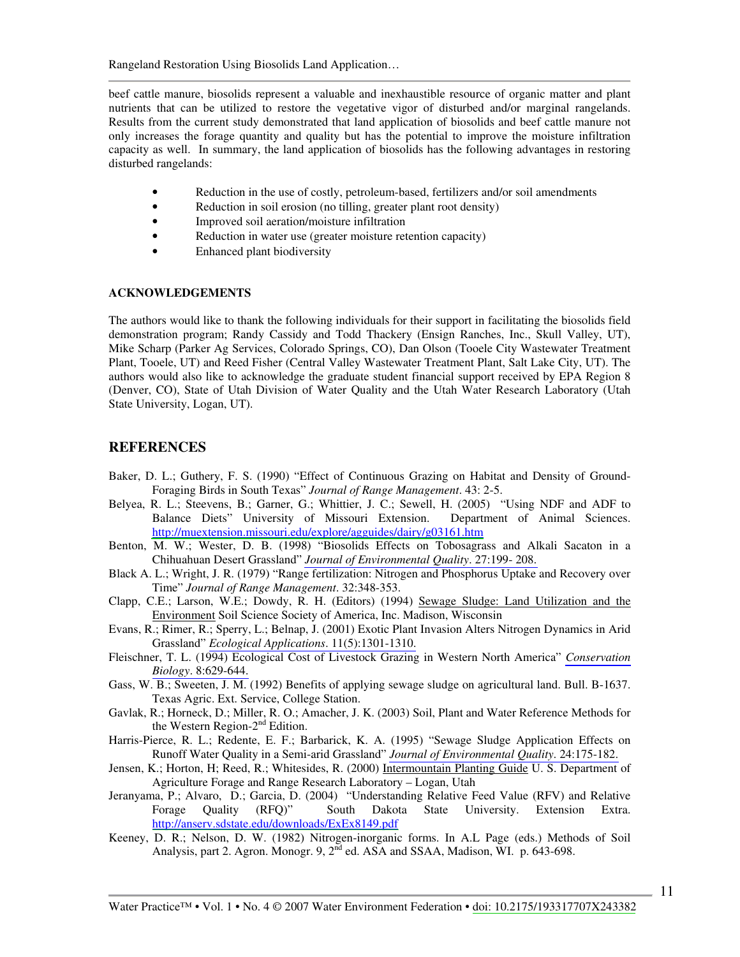beef cattle manure, biosolids represent a valuable and inexhaustible resource of organic matter and plant nutrients that can be utilized to restore the vegetative vigor of disturbed and/or marginal rangelands. Results from the current study demonstrated that land application of biosolids and beef cattle manure not only increases the forage quantity and quality but has the potential to improve the moisture infiltration capacity as well. In summary, the land application of biosolids has the following advantages in restoring disturbed rangelands:

- Reduction in the use of costly, petroleum-based, fertilizers and/or soil amendments
- $\bullet$ Reduction in soil erosion (no tilling, greater plant root density)
- Improved soil aeration/moisture infiltration  $\bullet$
- $\bullet$ Reduction in water use (greater moisture retention capacity)
- Enhanced plant biodiversity

#### **ACKNOWLEDGEMENTS**

The authors would like to thank the following individuals for their support in facilitating the biosolids field demonstration program; Randy Cassidy and Todd Thackery (Ensign Ranches, Inc., Skull Valley, UT), Mike Scharp (Parker Ag Services, Colorado Springs, CO), Dan Olson (Tooele City Wastewater Treatment Plant, Tooele, UT) and Reed Fisher (Central Valley Wastewater Treatment Plant, Salt Lake City, UT). The authors would also like to acknowledge the graduate student financial support received by EPA Region 8 (Denver, CO), State of Utah Division of Water Quality and the Utah Water Research Laboratory (Utah State University, Logan, UT).

### **REFERENCES**

- Baker, D. L.; Guthery, F. S. (1990) "Effect of Continuous Grazing on Habitat and Density of Ground-Foraging Birds in South Texas" Journal of Range Management. 43: 2-5.
- Belyea, R. L.; Steevens, B.; Garner, G.; Whittier, J. C.; Sewell, H. (2005) "Using NDF and ADF to Balance Diets" University of Missouri Extension. Department of Animal Sciences. http://muextension.missouri.edu/explore/agguides/dairy/g03161.htm
- Benton, M. W.; Wester, D. B. (1998) "Biosolids Effects on Tobosagrass and Alkali Sacaton in a Chihuahuan Desert Grassland" Journal of Environmental Quality. 27:199-208.
- Black A. L.; Wright, J. R. (1979) "Range fertilization: Nitrogen and Phosphorus Uptake and Recovery over Time" Journal of Range Management. 32:348-353.
- Clapp, C.E.; Larson, W.E.; Dowdy, R. H. (Editors) (1994) Sewage Sludge: Land Utilization and the Environment Soil Science Society of America, Inc. Madison, Wisconsin
- Evans, R.; Rimer, R.; Sperry, L.; Belnap, J. (2001) Exotic Plant Invasion Alters Nitrogen Dynamics in Arid Grassland" Ecological Applications. 11(5):1301-1310.
- Fleischner, T. L. (1994) Ecological Cost of Livestock Grazing in Western North America" Conservation Biology. 8:629-644.
- Gass, W. B.; Sweeten, J. M. (1992) Benefits of applying sewage sludge on agricultural land. Bull. B-1637. Texas Agric. Ext. Service, College Station.
- Gavlak, R.; Horneck, D.; Miller, R. O.; Amacher, J. K. (2003) Soil, Plant and Water Reference Methods for the Western Region- $2<sup>nd</sup>$  Edition.
- Harris-Pierce, R. L.; Redente, E. F.; Barbarick, K. A. (1995) "Sewage Sludge Application Effects on Runoff Water Quality in a Semi-arid Grassland" Journal of Environmental Quality. 24:175-182.
- Jensen, K.; Horton, H.; Reed, R.; Whitesides, R. (2000) Intermountain Planting Guide U. S. Department of Agriculture Forage and Range Research Laboratory – Logan, Utah
- Jeranyama, P.; Alvaro, D.; Garcia, D. (2004) "Understanding Relative Feed Value (RFV) and Relative Dakota State University. Forage Quality  $(RFQ)$ " South Extension Extra. http://anserv.sdstate.edu/downloads/ExEx8149.pdf
- Keeney, D. R.; Nelson, D. W. (1982) Nitrogen-inorganic forms. In A.L. Page (eds.) Methods of Soil Analysis, part 2. Agron. Monogr. 9, 2<sup>nd</sup> ed. ASA and SSAA, Madison, WI. p. 643-698.

 $\overline{11}$